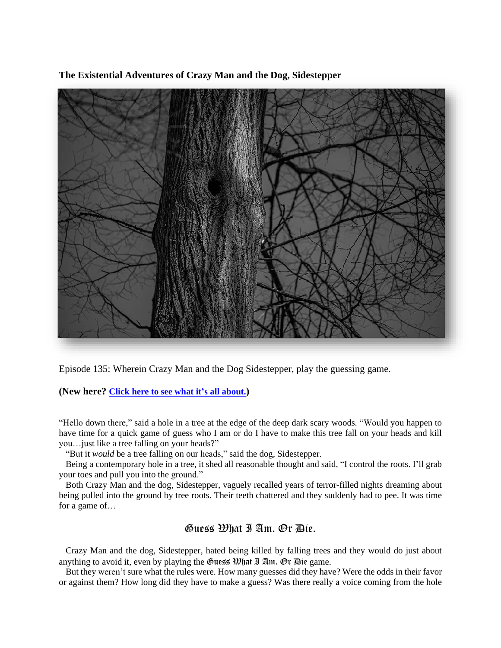**The Existential Adventures of Crazy Man and the Dog, Sidestepper**



Episode 135: Wherein Crazy Man and the Dog Sidestepper, play the guessing game.

**(New here? Click here to see what it's all [about.](https://biffmitchell.com/crazy-man))** 

"Hello down there," said a hole in a tree at the edge of the deep dark scary woods. "Would you happen to have time for a quick game of guess who I am or do I have to make this tree fall on your heads and kill you…just like a tree falling on your heads?"

"But it *would* be a tree falling on our heads," said the dog, Sidestepper.

 Being a contemporary hole in a tree, it shed all reasonable thought and said, "I control the roots. I'll grab your toes and pull you into the ground."

 Both Crazy Man and the dog, Sidestepper, vaguely recalled years of terror-filled nights dreaming about being pulled into the ground by tree roots. Their teeth chattered and they suddenly had to pee. It was time for a game of…

## Guess What I Am. Or Die.

 Crazy Man and the dog, Sidestepper, hated being killed by falling trees and they would do just about anything to avoid it, even by playing the Guess  $\mathfrak{W}$ hat I Am. Or Die game.

 But they weren't sure what the rules were. How many guesses did they have? Were the odds in their favor or against them? How long did they have to make a guess? Was there really a voice coming from the hole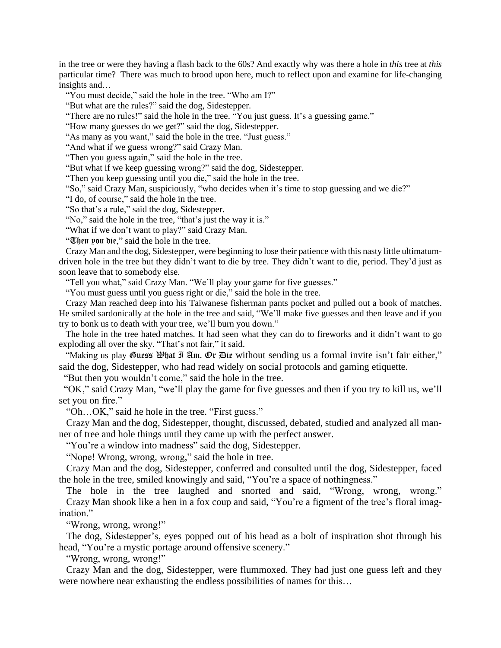in the tree or were they having a flash back to the 60s? And exactly why was there a hole in *this* tree at *this* particular time? There was much to brood upon here, much to reflect upon and examine for life-changing insights and…

"You must decide," said the hole in the tree. "Who am I?"

"But what are the rules?" said the dog, Sidestepper.

"There are no rules!" said the hole in the tree. "You just guess. It's a guessing game."

"How many guesses do we get?" said the dog, Sidestepper.

"As many as you want," said the hole in the tree. "Just guess."

"And what if we guess wrong?" said Crazy Man.

"Then you guess again," said the hole in the tree.

"But what if we keep guessing wrong?" said the dog, Sidestepper.

"Then you keep guessing until you die," said the hole in the tree.

"So," said Crazy Man, suspiciously, "who decides when it's time to stop guessing and we die?"

"I do, of course," said the hole in the tree.

"So that's a rule," said the dog, Sidestepper.

"No," said the hole in the tree, "that's just the way it is."

"What if we don't want to play?" said Crazy Man.

"Then you die," said the hole in the tree.

 Crazy Man and the dog, Sidestepper, were beginning to lose their patience with this nasty little ultimatumdriven hole in the tree but they didn't want to die by tree. They didn't want to die, period. They'd just as soon leave that to somebody else.

"Tell you what," said Crazy Man. "We'll play your game for five guesses."

"You must guess until you guess right or die," said the hole in the tree.

 Crazy Man reached deep into his Taiwanese fisherman pants pocket and pulled out a book of matches. He smiled sardonically at the hole in the tree and said, "We'll make five guesses and then leave and if you try to bonk us to death with your tree, we'll burn you down."

 The hole in the tree hated matches. It had seen what they can do to fireworks and it didn't want to go exploding all over the sky. "That's not fair," it said.

"Making us play Guess *What* I Am. Or Die without sending us a formal invite isn't fair either," said the dog, Sidestepper, who had read widely on social protocols and gaming etiquette.

"But then you wouldn't come," said the hole in the tree.

 "OK," said Crazy Man, "we'll play the game for five guesses and then if you try to kill us, we'll set you on fire."

"Oh…OK," said he hole in the tree. "First guess."

 Crazy Man and the dog, Sidestepper, thought, discussed, debated, studied and analyzed all manner of tree and hole things until they came up with the perfect answer.

"You're a window into madness" said the dog, Sidestepper.

"Nope! Wrong, wrong, wrong," said the hole in tree.

 Crazy Man and the dog, Sidestepper, conferred and consulted until the dog, Sidestepper, faced the hole in the tree, smiled knowingly and said, "You're a space of nothingness."

 The hole in the tree laughed and snorted and said, "Wrong, wrong, wrong." Crazy Man shook like a hen in a fox coup and said, "You're a figment of the tree's floral imagination."

"Wrong, wrong, wrong!"

 The dog, Sidestepper's, eyes popped out of his head as a bolt of inspiration shot through his head, "You're a mystic portage around offensive scenery."

"Wrong, wrong, wrong!"

 Crazy Man and the dog, Sidestepper, were flummoxed. They had just one guess left and they were nowhere near exhausting the endless possibilities of names for this...